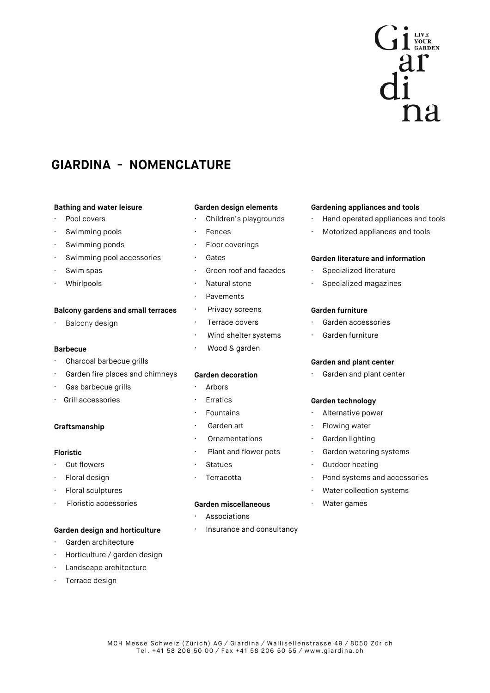

# **GIARDINA - NOMENCLATURE**

## **Bathing and water leisure Garden design elements Gardening appliances and tools**

- 
- 
- Swimming ponds **· Floor coverings**
- · Swimming pool accessories · Gates **Garden literature and information**
- 
- 

# **Balcony gardens and small terraces · Privacy screens Garden furniture**

# **Barbecue · Wood & garden**

- Charcoal barbecue grills **Garden and plant center Garden and plant center**
- Garden fire places and chimneys **Garden decoration · Garden and plant center**
- · Gas barbecue grills · Arbors
- · Grill accessories · Erratics **Garden technology**

- 
- 
- 
- · Floristic accessories **Garden miscellaneous** · Water games

# **Garden design and horticulture · Insurance and consultancy**

- · Garden architecture
- Horticulture / garden design
- Landscape architecture
- Terrace design

- 
- 
- 
- 
- Swim spas **· Swim spase in the contract of Swim System** of and facades
	- Natural stone
	- **Pavements**
	-
	-
	- Wind shelter systems **· Garden furniture**
	-

- 
- 
- 
- 
- 
- **Floristic Floristic** *CONDER CONDER CONDER CONDER CONDER CONDER CONDER CONDER CONDER CONDER CONDER CONDER CONDER CONDER CONDER CONDER CONDER CONDER CONDER CONDER CONDER CONDER CONDER CONDER CONDER CONDER CONDER CONDER* 
	-

- **Associations**
- 

- · Pool covers **· Children's playgrounds** · Hand operated appliances and tools
	- Swimming pools **· Fences** · **· Fences** · **Motorized appliances and tools**

- Specialized literature
- Whirlpools **· Natural stone · Specialized magazines · Natural stone · · · · · · Specialized magazines**

- Balcony design **but a contract of the Covers** of Carden accessories **but a contract of Carden** accessories
	-

- Fountains **· Alternative power**
- **Craftsmanship being the contract of Carden art Craftsmanship ·** Flowing water
	- Ornamentations · Garden lighting
		-
		-
- Floral design **· Pond systems** and accessories **· Pond systems** and accessories
	- Floral sculptures **and the set of the set of the set of the set of the set of the set of the set of the set of the set of the set of the set of the set of the set of the set of the set of the set of the set of the set of t** 
		-

# • Cut flowers **· Cut flowers** · Cut flowers **· Cut flowers · Cut flowers · Cut flowers · Cut flowers · Cut flowers · Cut flowers · Cut flowers · Cut flowers · Cut flowers · Cut flowers · Cut flowers ·**